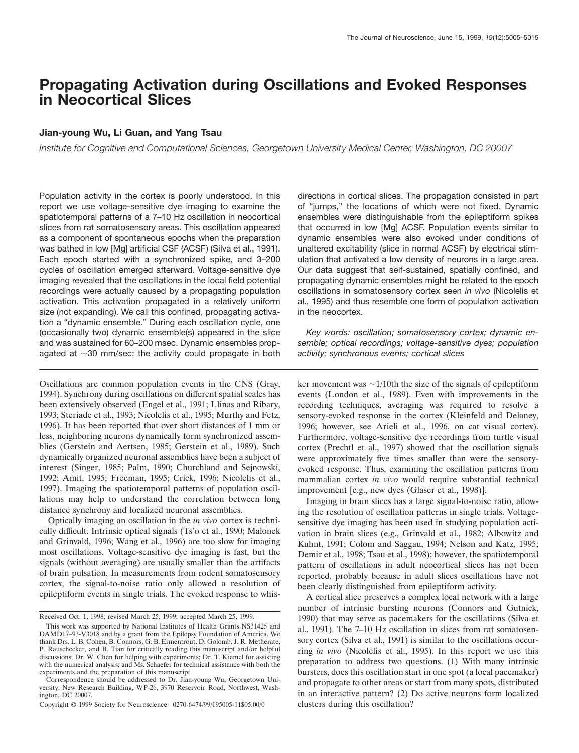# **Propagating Activation during Oscillations and Evoked Responses in Neocortical Slices**

## **Jian-young Wu, Li Guan, and Yang Tsau**

*Institute for Cognitive and Computational Sciences, Georgetown University Medical Center, Washington, DC 20007*

Population activity in the cortex is poorly understood. In this report we use voltage-sensitive dye imaging to examine the spatiotemporal patterns of a 7–10 Hz oscillation in neocortical slices from rat somatosensory areas. This oscillation appeared as a component of spontaneous epochs when the preparation was bathed in low [Mg] artificial CSF (ACSF) (Silva et al., 1991). Each epoch started with a synchronized spike, and 3–200 cycles of oscillation emerged afterward. Voltage-sensitive dye imaging revealed that the oscillations in the local field potential recordings were actually caused by a propagating population activation. This activation propagated in a relatively uniform size (not expanding). We call this confined, propagating activation a "dynamic ensemble." During each oscillation cycle, one (occasionally two) dynamic ensemble(s) appeared in the slice and was sustained for 60–200 msec. Dynamic ensembles propagated at  $\sim$ 30 mm/sec; the activity could propagate in both

Oscillations are common population events in the CNS (Gray, 1994). Synchrony during oscillations on different spatial scales has been extensively observed (Engel et al., 1991; Llinas and Ribary, 1993; Steriade et al., 1993; Nicolelis et al., 1995; Murthy and Fetz, 1996). It has been reported that over short distances of 1 mm or less, neighboring neurons dynamically form synchronized assemblies (Gerstein and Aertsen, 1985; Gerstein et al., 1989). Such dynamically organized neuronal assemblies have been a subject of interest (Singer, 1985; Palm, 1990; Churchland and Sejnowski, 1992; Amit, 1995; Freeman, 1995; Crick, 1996; Nicolelis et al., 1997). Imaging the spatiotemporal patterns of population oscillations may help to understand the correlation between long distance synchrony and localized neuronal assemblies.

Optically imaging an oscillation in the *in vivo* cortex is technically difficult. Intrinsic optical signals (Ts'o et al., 1990; Malonek and Grinvald, 1996; Wang et al., 1996) are too slow for imaging most oscillations. Voltage-sensitive dye imaging is fast, but the signals (without averaging) are usually smaller than the artifacts of brain pulsation. In measurements from rodent somatosensory cortex, the signal-to-noise ratio only allowed a resolution of epileptiform events in single trials. The evoked response to whis-

directions in cortical slices. The propagation consisted in part of "jumps," the locations of which were not fixed. Dynamic ensembles were distinguishable from the epileptiform spikes that occurred in low [Mg] ACSF. Population events similar to dynamic ensembles were also evoked under conditions of unaltered excitability (slice in normal ACSF) by electrical stimulation that activated a low density of neurons in a large area. Our data suggest that self-sustained, spatially confined, and propagating dynamic ensembles might be related to the epoch oscillations in somatosensory cortex seen *in vivo* (Nicolelis et al., 1995) and thus resemble one form of population activation in the neocortex.

*Key words: oscillation; somatosensory cortex; dynamic ensemble; optical recordings; voltage-sensitive dyes; population activity; synchronous events; cortical slices*

ker movement was  $\sim$ 1/10th the size of the signals of epileptiform events (London et al., 1989). Even with improvements in the recording techniques, averaging was required to resolve a sensory-evoked response in the cortex (Kleinfeld and Delaney, 1996; however, see Arieli et al., 1996, on cat visual cortex). Furthermore, voltage-sensitive dye recordings from turtle visual cortex (Prechtl et al., 1997) showed that the oscillation signals were approximately five times smaller than were the sensoryevoked response. Thus, examining the oscillation patterns from mammalian cortex *in vivo* would require substantial technical improvement [e.g., new dyes (Glaser et al., 1998)].

Imaging in brain slices has a large signal-to-noise ratio, allowing the resolution of oscillation patterns in single trials. Voltagesensitive dye imaging has been used in studying population activation in brain slices (e.g., Grinvald et al., 1982; Albowitz and Kuhnt, 1991; Colom and Saggau, 1994; Nelson and Katz, 1995; Demir et al., 1998; Tsau et al., 1998); however, the spatiotemporal pattern of oscillations in adult neocortical slices has not been reported, probably because in adult slices oscillations have not been clearly distinguished from epileptiform activity.

A cortical slice preserves a complex local network with a large number of intrinsic bursting neurons (Connors and Gutnick, 1990) that may serve as pacemakers for the oscillations (Silva et al., 1991). The 7–10 Hz oscillation in slices from rat somatosensory cortex (Silva et al., 1991) is similar to the oscillations occurring *in vivo* (Nicolelis et al., 1995). In this report we use this preparation to address two questions. (1) With many intrinsic bursters, does this oscillation start in one spot (a local pacemaker) and propagate to other areas or start from many spots, distributed in an interactive pattern? (2) Do active neurons form localized clusters during this oscillation?

Received Oct. 1, 1998; revised March 25, 1999; accepted March 25, 1999.

This work was supported by National Institutes of Health Grants NS31425 and DAMD17-93-V3018 and by a grant from the Epilepsy Foundation of America. We thank Drs. L. B. Cohen, B. Connors, G. B. Ermentrout, D. Golomb, J. R. Metherate, P. Rauschecker, and B. Tian for critically reading this manuscript and/or helpful discussions; Dr. W. Chen for helping with experiments; Dr. T. Kiemel for assisting with the numerical analysis; and Ms. Schaefer for technical assistance with both the experiments and the preparation of this manuscript.

Correspondence should be addressed to Dr. Jian-young Wu, Georgetown University, New Research Building, WP-26, 3970 Reservoir Road, Northwest, Washington, DC 20007.

Copyright © 1999 Society for Neuroscience 0270-6474/99/195005-11\$05.00/0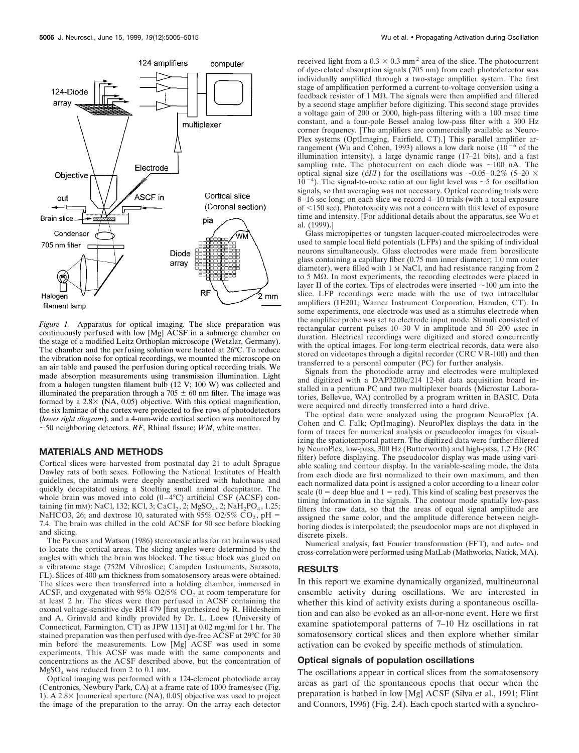

*Figure 1.* Apparatus for optical imaging. The slice preparation was continuously perfused with low [Mg] ACSF in a submerge chamber on the stage of a modified Leitz Orthoplan microscope (Wetzlar, Germany). The chamber and the perfusing solution were heated at 26°C. To reduce the vibration noise for optical recordings, we mounted the microscope on an air table and paused the perfusion during optical recording trials. We made absorption measurements using transmission illumination. Light from a halogen tungsten filament bulb (12 V; 100 W) was collected and illuminated the preparation through a  $705 \pm 60$  nm filter. The image was formed by a  $2.8 \times$  (NA, 0.05) objective. With this optical magnification, the six laminae of the cortex were projected to five rows of photodetectors (*lower right diagram*), and a 4-mm-wide cortical section was monitored by  $\sim$ 50 neighboring detectors. *RF*, Rhinal fissure; *WM*, white matter.

### **MATERIALS AND METHODS**

Cortical slices were harvested from postnatal day 21 to adult Sprague Dawley rats of both sexes. Following the National Institutes of Health guidelines, the animals were deeply anesthetized with halothane and quickly decapitated using a Stoelting small animal decapitator. The whole brain was moved into cold (0-4°C) artificial CSF (ACSF) containing (in mm): NaCl, 132; KCl, 3; CaCl<sub>2</sub>, 2; MgSO<sub>4</sub>, 2; NaH<sub>2</sub>PO<sub>4</sub>, 1.25; NaHCO3, 26; and dextrose 10, saturated with 95% O2/5% CO<sub>2</sub>, pH = 7.4. The brain was chilled in the cold ACSF for 90 sec before blocking and slicing.

The Paxinos and Watson (1986) stereotaxic atlas for rat brain was used to locate the cortical areas. The slicing angles were determined by the angles with which the brain was blocked. The tissue block was glued on a vibratome stage (752M Vibroslice; Campden Instruments, Sarasota, FL). Slices of 400  $\mu$ m thickness from somatosensory areas were obtained. The slices were then transferred into a holding chamber, immersed in ACSF, and oxygenated with 95% O2/5% CO<sub>2</sub> at room temperature for at least 2 hr. The slices were then perfused in ACSF containing the oxonol voltage-sensitive dye RH 479 [first synthesized by R. Hildesheim and A. Grinvald and kindly provided by Dr. L. Loew (University of Connecticut, Farmington, CT) as JPW 1131] at 0.02 mg/ml for 1 hr. The stained preparation was then perfused with dye-free ACSF at 29°C for 30 min before the measurements. Low [Mg] ACSF was used in some experiments. This ACSF was made with the same components and concentrations as the ACSF described above, but the concentration of MgSO4 was reduced from 2 to 0.1 mM.

Optical imaging was performed with a 124-element photodiode array (Centronics, Newbury Park, CA) at a frame rate of 1000 frames/sec (Fig. 1). A 2.8 $\times$  [numerical aperture (NA), 0.05] objective was used to project the image of the preparation to the array. On the array each detector

received light from a  $0.3 \times 0.3$  mm<sup>2</sup> area of the slice. The photocurrent of dye-related absorption signals (705 nm) from each photodetector was individually amplified through a two-stage amplifier system. The first stage of amplification performed a current-to-voltage conversion using a feedback resistor of  $1 \text{ M}\Omega$ . The signals were then amplified and filtered by a second stage amplifier before digitizing. This second stage provides a voltage gain of 200 or 2000, high-pass filtering with a 100 msec time constant, and a four-pole Bessel analog low-pass filter with a 300 Hz corner frequency. [The amplifiers are commercially available as Neuro-Plex systems (OptImaging, Fairfield, CT).] This parallel amplifier arrangement (Wu and Cohen, 1993) allows a low dark noise  $(10^{-6}$  of the illumination intensity), a large dynamic range (17–21 bits), and a fast sampling rate. The photocurrent on each diode was  $\sim$ 100 nA. The optical signal size (d*I*/*I*) for the oscillations was  $\sim 0.05-0.2\%$  (5–20  $\times$  $10^{-4}$ ). The signal-to-noise ratio at our light level was  $\sim$ 5 for oscillation signals, so that averaging was not necessary. Optical recording trials were 8–16 sec long; on each slice we record 4–10 trials (with a total exposure of  $\leq$ 150 sec). Phototoxicity was not a concern with this level of exposure time and intensity. [For additional details about the apparatus, see Wu et al. (1999).]

Glass micropipettes or tungsten lacquer-coated microelectrodes were used to sample local field potentials (LFPs) and the spiking of individual neurons simultaneously. Glass electrodes were made from borosilicate glass containing a capillary fiber (0.75 mm inner diameter; 1.0 mm outer diameter), were filled with 1 M NaCl, and had resistance ranging from 2 to 5 M $\Omega$ . In most experiments, the recording electrodes were placed in layer II of the cortex. Tips of electrodes were inserted  $\sim$ 100  $\mu$ m into the slice. LFP recordings were made with the use of two intracellular amplifiers (IE201; Warner Instrument Corporation, Hamden, CT). In some experiments, one electrode was used as a stimulus electrode when the amplifier probe was set to electrode input mode. Stimuli consisted of rectangular current pulses  $10-30$  V in amplitude and  $50-200$   $\mu$ sec in duration. Electrical recordings were digitized and stored concurrently with the optical images. For long-term electrical records, data were also stored on videotapes through a digital recorder (CRC VR-100) and then transferred to a personal computer (PC) for further analysis.

Signals from the photodiode array and electrodes were multiplexed and digitized with a DAP3200e/214 12-bit data acquisition board installed in a pentium PC and two multiplexer boards (Microstar Laboratories, Bellevue, WA) controlled by a program written in BASIC. Data were acquired and directly transferred into a hard drive.

The optical data were analyzed using the program NeuroPlex (A. Cohen and C. Falk; OptImaging). NeuroPlex displays the data in the form of traces for numerical analysis or pseudocolor images for visualizing the spatiotemporal pattern. The digitized data were further filtered by NeuroPlex, low-pass, 300 Hz (Butterworth) and high-pass, 1.2 Hz (RC filter) before displaying. The pseudocolor display was made using variable scaling and contour display. In the variable-scaling mode, the data from each diode are first normalized to their own maximum, and then each normalized data point is assigned a color according to a linear color scale ( $0 =$  deep blue and  $1 =$  red). This kind of scaling best preserves the timing information in the signals. The contour mode spatially low-pass filters the raw data, so that the areas of equal signal amplitude are assigned the same color, and the amplitude difference between neighboring diodes is interpolated; the pseudocolor maps are not displayed in discrete pixels.

Numerical analysis, fast Fourier transformation (FFT), and auto- and cross-correlation were performed using MatLab (Mathworks, Natick, MA).

#### **RESULTS**

In this report we examine dynamically organized, multineuronal ensemble activity during oscillations. We are interested in whether this kind of activity exists during a spontaneous oscillation and can also be evoked as an all-or-none event. Here we first examine spatiotemporal patterns of 7–10 Hz oscillations in rat somatosensory cortical slices and then explore whether similar activation can be evoked by specific methods of stimulation.

### **Optical signals of population oscillations**

The oscillations appear in cortical slices from the somatosensory areas as part of the spontaneous epochs that occur when the preparation is bathed in low [Mg] ACSF (Silva et al., 1991; Flint and Connors, 1996) (Fig. 2*A*). Each epoch started with a synchro-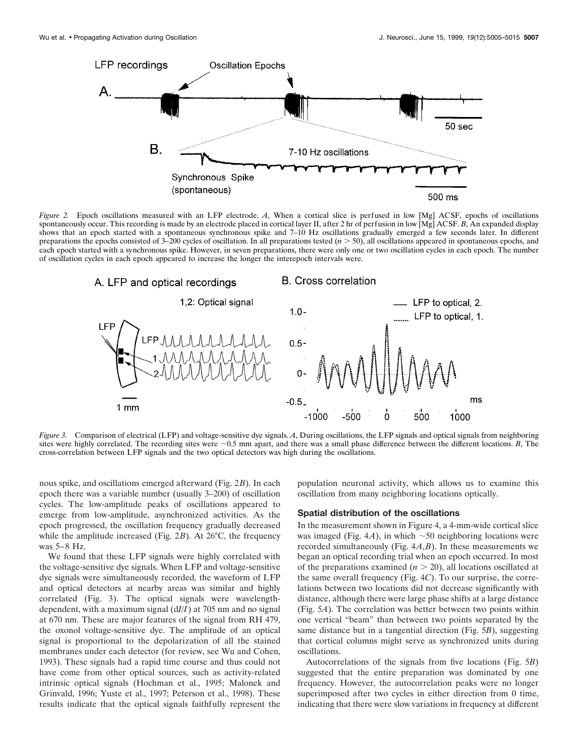

*Figure 2.* Epoch oscillations measured with an LFP electrode. *A*, When a cortical slice is perfused in low [Mg] ACSF, epochs of oscillations spontaneously occur. This recording is made by an electrode placed in cortical layer II, after 2 hr of perfusion in low  $[Mg]$  ACSF. *B*, An expanded display shows that an epoch started with a spontaneous synchronous spike and 7–10 Hz oscillations gradually emerged a few seconds later. In different preparations the epochs consisted of 3–200 cycles of oscillation. In all preparations tested (*n* > 50), all oscillations appeared in spontaneous epochs, and each epoch started with a synchronous spike. However, in seven preparations, there were only one or two oscillation cycles in each epoch. The number of oscillation cycles in each epoch appeared to increase the longer the interepoch intervals were.



*Figure 3.* Comparison of electrical (LFP) and voltage-sensitive dye signals. *A*, During oscillations, the LFP signals and optical signals from neighboring sites were highly correlated. The recording sites were  $\sim 0.5$  mm apart, and there was a small phase difference between the different locations. *B*, The cross-correlation between LFP signals and the two optical detectors was high during the oscillations.

nous spike, and oscillations emerged afterward (Fig. 2*B*). In each epoch there was a variable number (usually 3–200) of oscillation cycles. The low-amplitude peaks of oscillations appeared to emerge from low-amplitude, asynchronized activities. As the epoch progressed, the oscillation frequency gradually decreased while the amplitude increased (Fig. 2*B*). At 26°C, the frequency was 5–8 Hz.

We found that these LFP signals were highly correlated with the voltage-sensitive dye signals. When LFP and voltage-sensitive dye signals were simultaneously recorded, the waveform of LFP and optical detectors at nearby areas was similar and highly correlated (Fig. 3). The optical signals were wavelengthdependent, with a maximum signal (d*I*/*I*) at 705 nm and no signal at 670 nm. These are major features of the signal from RH 479, the oxonol voltage-sensitive dye. The amplitude of an optical signal is proportional to the depolarization of all the stained membranes under each detector (for review, see Wu and Cohen, 1993). These signals had a rapid time course and thus could not have come from other optical sources, such as activity-related intrinsic optical signals (Hochman et al., 1995; Malonek and Grinvald, 1996; Yuste et al., 1997; Peterson et al., 1998). These results indicate that the optical signals faithfully represent the

population neuronal activity, which allows us to examine this oscillation from many neighboring locations optically.

### **Spatial distribution of the oscillations**

In the measurement shown in Figure 4, a 4-mm-wide cortical slice was imaged (Fig.  $4A$ ), in which  $\sim$ 50 neighboring locations were recorded simultaneously (Fig. 4*A*,*B*). In these measurements we began an optical recording trial when an epoch occurred. In most of the preparations examined  $(n > 20)$ , all locations oscillated at the same overall frequency (Fig. 4*C*). To our surprise, the correlations between two locations did not decrease significantly with distance, although there were large phase shifts at a large distance (Fig. 5*A*). The correlation was better between two points within one vertical "beam" than between two points separated by the same distance but in a tangential direction (Fig. 5*B*), suggesting that cortical columns might serve as synchronized units during oscillations.

Autocorrelations of the signals from five locations (Fig. 5*B*) suggested that the entire preparation was dominated by one frequency. However, the autocorrelation peaks were no longer superimposed after two cycles in either direction from 0 time, indicating that there were slow variations in frequency at different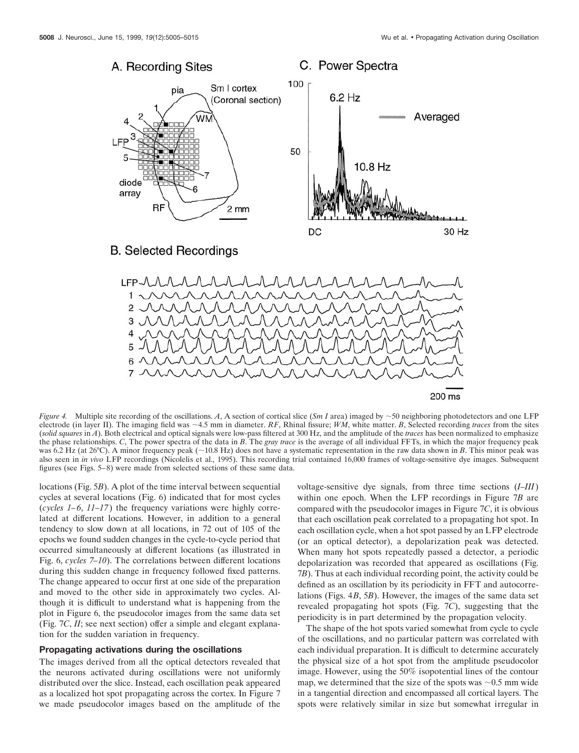

LFP-4 5 200 ms

*Figure 4.* Multiple site recording of the oscillations. A, A section of cortical slice (*Sm I* area) imaged by  $\sim$  50 neighboring photodetectors and one LFP electrode (in layer II). The imaging field was ~4.5 mm in diameter. *RF*, Rhinal fissure; *WM*, white matter. *B*, Selected recording *traces* from the sites (*solid squares* in *A*). Both electrical and optical signals were low-pass filtered at 300 Hz, and the amplitude of the *traces* has been normalized to emphasize the phase relationships. *C*, The power spectra of the data in *B*. The *gray trace* is the average of all individual FFTs, in which the major frequency peak was 6.2 Hz (at  $26^{\circ}$ C). A minor frequency peak ( $\sim$ 10.8 Hz) does not have a systematic representation in the raw data shown in *B*. This minor peak was also seen in *in vivo* LFP recordings (Nicolelis et al., 1995). This recording trial contained 16,000 frames of voltage-sensitive dye images. Subsequent figures (see Figs. 5–8) were made from selected sections of these same data.

locations (Fig. 5*B*). A plot of the time interval between sequential cycles at several locations (Fig. 6) indicated that for most cycles (*cycles 1–6*, *11–17*) the frequency variations were highly correlated at different locations. However, in addition to a general tendency to slow down at all locations, in 72 out of 105 of the epochs we found sudden changes in the cycle-to-cycle period that occurred simultaneously at different locations (as illustrated in Fig. 6, *cycles 7–10*). The correlations between different locations during this sudden change in frequency followed fixed patterns. The change appeared to occur first at one side of the preparation and moved to the other side in approximately two cycles. Although it is difficult to understand what is happening from the plot in Figure 6, the pseudocolor images from the same data set (Fig. 7*C*, *II*; see next section) offer a simple and elegant explanation for the sudden variation in frequency.

#### **Propagating activations during the oscillations**

The images derived from all the optical detectors revealed that the neurons activated during oscillations were not uniformly distributed over the slice. Instead, each oscillation peak appeared as a localized hot spot propagating across the cortex. In Figure 7 we made pseudocolor images based on the amplitude of the

voltage-sensitive dye signals, from three time sections (*I–III*) within one epoch. When the LFP recordings in Figure 7*B* are compared with the pseudocolor images in Figure 7*C*, it is obvious that each oscillation peak correlated to a propagating hot spot. In each oscillation cycle, when a hot spot passed by an LFP electrode (or an optical detector), a depolarization peak was detected. When many hot spots repeatedly passed a detector, a periodic depolarization was recorded that appeared as oscillations (Fig. 7*B*). Thus at each individual recording point, the activity could be defined as an oscillation by its periodicity in FFT and autocorrelations (Figs. 4*B*, 5*B*). However, the images of the same data set revealed propagating hot spots (Fig. 7*C*), suggesting that the periodicity is in part determined by the propagation velocity.

The shape of the hot spots varied somewhat from cycle to cycle of the oscillations, and no particular pattern was correlated with each individual preparation. It is difficult to determine accurately the physical size of a hot spot from the amplitude pseudocolor image. However, using the 50% isopotential lines of the contour map, we determined that the size of the spots was  $\sim 0.5$  mm wide in a tangential direction and encompassed all cortical layers. The spots were relatively similar in size but somewhat irregular in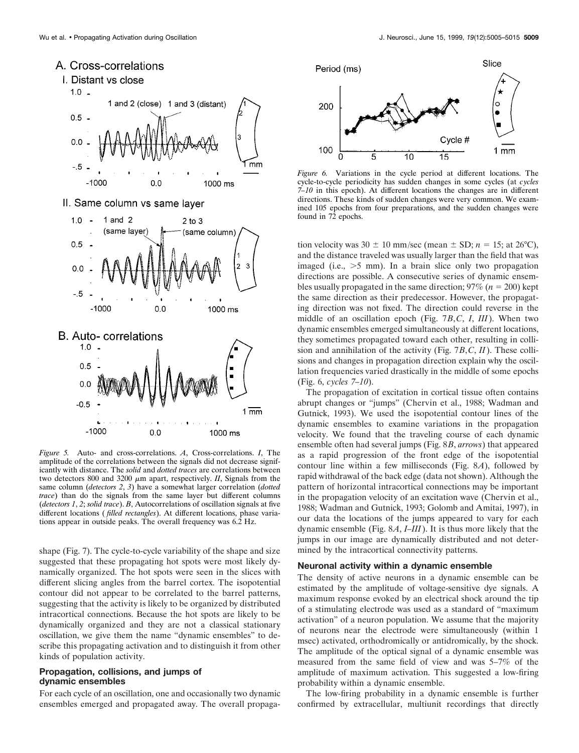# A. Cross-correlations

# I. Distant vs close  $1.0 -$ 1 and 2 (close) 1 and 3 (distant)  $0.5$  $0.0$ mm.  $-0.5 -1000$  $0.0$ 1000 ms II. Same column vs same layer 1 and  $2$  $1.0 2$  to  $3$



*Figure 5.* Auto- and cross-correlations. *A*, Cross-correlations. *I*, The amplitude of the correlations between the signals did not decrease significantly with distance. The *solid* and *dotted traces* are correlations between two detectors 800 and 3200  $\mu$ m apart, respectively. *II*, Signals from the same column (*detectors 2*, *3*) have a somewhat larger correlation (*dotted trace*) than do the signals from the same layer but different columns (*detectors 1*, *2*; *solid trace*). *B*, Autocorrelations of oscillation signals at five different locations ( *filled rectangles*). At different locations, phase variations appear in outside peaks. The overall frequency was 6.2 Hz.

shape (Fig. 7). The cycle-to-cycle variability of the shape and size suggested that these propagating hot spots were most likely dynamically organized. The hot spots were seen in the slices with different slicing angles from the barrel cortex. The isopotential contour did not appear to be correlated to the barrel patterns, suggesting that the activity is likely to be organized by distributed intracortical connections. Because the hot spots are likely to be dynamically organized and they are not a classical stationary oscillation, we give them the name "dynamic ensembles" to describe this propagating activation and to distinguish it from other kinds of population activity.

### **Propagation, collisions, and jumps of dynamic ensembles**

For each cycle of an oscillation, one and occasionally two dynamic ensembles emerged and propagated away. The overall propaga-



*Figure 6.* Variations in the cycle period at different locations. The cycle-to-cycle periodicity has sudden changes in some cycles (at *cycles 7–10* in this epoch). At different locations the changes are in different directions. These kinds of sudden changes were very common. We examined 105 epochs from four preparations, and the sudden changes were found in 72 epochs.

tion velocity was  $30 \pm 10$  mm/sec (mean  $\pm$  SD;  $n = 15$ ; at 26°C), and the distance traveled was usually larger than the field that was imaged (i.e.,  $>5$  mm). In a brain slice only two propagation directions are possible. A consecutive series of dynamic ensembles usually propagated in the same direction;  $97\%$  ( $n = 200$ ) kept the same direction as their predecessor. However, the propagating direction was not fixed. The direction could reverse in the middle of an oscillation epoch (Fig. 7*B*,*C*, *I*, *III*). When two dynamic ensembles emerged simultaneously at different locations, they sometimes propagated toward each other, resulting in collision and annihilation of the activity (Fig. 7*B*,*C*, *II*). These collisions and changes in propagation direction explain why the oscillation frequencies varied drastically in the middle of some epochs (Fig. 6, *cycles 7–10*).

The propagation of excitation in cortical tissue often contains abrupt changes or "jumps" (Chervin et al., 1988; Wadman and Gutnick, 1993). We used the isopotential contour lines of the dynamic ensembles to examine variations in the propagation velocity. We found that the traveling course of each dynamic ensemble often had several jumps (Fig. 8*B*, *arrows*) that appeared as a rapid progression of the front edge of the isopotential contour line within a few milliseconds (Fig. 8*A*), followed by rapid withdrawal of the back edge (data not shown). Although the pattern of horizontal intracortical connections may be important in the propagation velocity of an excitation wave (Chervin et al., 1988; Wadman and Gutnick, 1993; Golomb and Amitai, 1997), in our data the locations of the jumps appeared to vary for each dynamic ensemble (Fig. 8*A*, *I–III*). It is thus more likely that the jumps in our image are dynamically distributed and not determined by the intracortical connectivity patterns.

### **Neuronal activity within a dynamic ensemble**

The density of active neurons in a dynamic ensemble can be estimated by the amplitude of voltage-sensitive dye signals. A maximum response evoked by an electrical shock around the tip of a stimulating electrode was used as a standard of "maximum activation" of a neuron population. We assume that the majority of neurons near the electrode were simultaneously (within 1 msec) activated, orthodromically or antidromically, by the shock. The amplitude of the optical signal of a dynamic ensemble was measured from the same field of view and was 5–7% of the amplitude of maximum activation. This suggested a low-firing probability within a dynamic ensemble.

The low-firing probability in a dynamic ensemble is further confirmed by extracellular, multiunit recordings that directly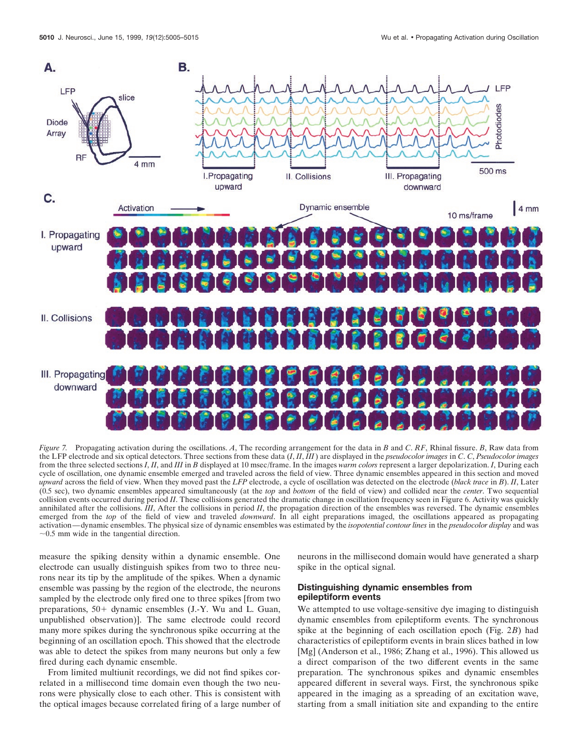

*Figure 7.* Propagating activation during the oscillations. *A*, The recording arrangement for the data in *B* and *C*. *RF*, Rhinal fissure. *B*, Raw data from the LFP electrode and six optical detectors. Three sections from these data (*I*, *II*, *III*) are displayed in the *pseudocolor images* in *C*. *C*, *Pseudocolor images* from the three selected sections *I*, *II*, and *III* in *B* displayed at 10 msec/frame. In the images *warm colors* represent a larger depolarization. *I*, During each cycle of oscillation, one dynamic ensemble emerged and traveled across the field of view. Three dynamic ensembles appeared in this section and moved *upward* across the field of view. When they moved past the *LFP* electrode, a cycle of oscillation was detected on the electrode (*black trace* in *B*). *II*, Later (0.5 sec), two dynamic ensembles appeared simultaneously (at the *top* and *bottom* of the field of view) and collided near the *center*. Two sequential collision events occurred during period *II*. These collisions generated the dramatic change in oscillation frequency seen in Figure 6. Activity was quickly annihilated after the collisions. *III*, After the collisions in period *II*, the propagation direction of the ensembles was reversed. The dynamic ensembles emerged from the *top* of the field of view and traveled *downward*. In all eight preparations imaged, the oscillations appeared as propagating activation—dynamic ensembles. The physical size of dynamic ensembles was estimated by the *isopotential contour lines* in the *pseudocolor display* and was  $\sim$ 0.5 mm wide in the tangential direction.

measure the spiking density within a dynamic ensemble. One electrode can usually distinguish spikes from two to three neurons near its tip by the amplitude of the spikes. When a dynamic ensemble was passing by the region of the electrode, the neurons sampled by the electrode only fired one to three spikes [from two preparations,  $50+$  dynamic ensembles (J.-Y. Wu and L. Guan, unpublished observation)]. The same electrode could record many more spikes during the synchronous spike occurring at the beginning of an oscillation epoch. This showed that the electrode was able to detect the spikes from many neurons but only a few fired during each dynamic ensemble.

From limited multiunit recordings, we did not find spikes correlated in a millisecond time domain even though the two neurons were physically close to each other. This is consistent with the optical images because correlated firing of a large number of

neurons in the millisecond domain would have generated a sharp spike in the optical signal.

## **Distinguishing dynamic ensembles from epileptiform events**

We attempted to use voltage-sensitive dye imaging to distinguish dynamic ensembles from epileptiform events. The synchronous spike at the beginning of each oscillation epoch (Fig. 2*B*) had characteristics of epileptiform events in brain slices bathed in low [Mg] (Anderson et al., 1986; Zhang et al., 1996). This allowed us a direct comparison of the two different events in the same preparation. The synchronous spikes and dynamic ensembles appeared different in several ways. First, the synchronous spike appeared in the imaging as a spreading of an excitation wave, starting from a small initiation site and expanding to the entire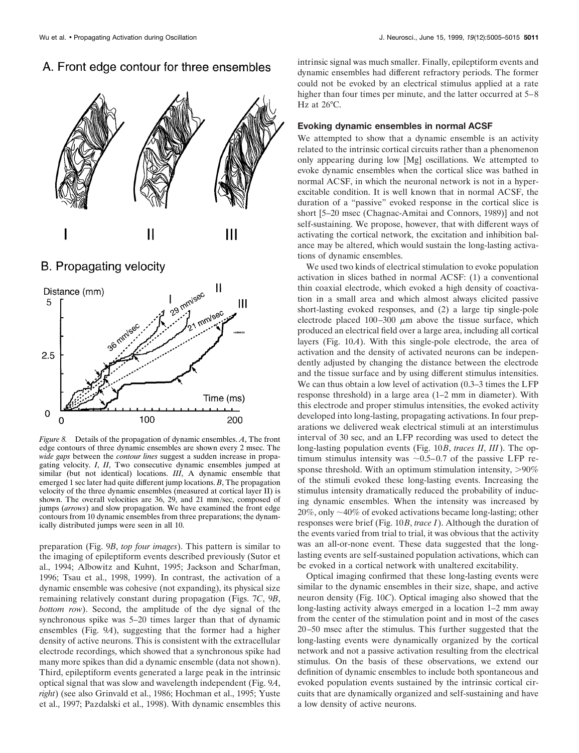# A. Front edge contour for three ensembles



**B.** Propagating velocity



*Figure 8.* Details of the propagation of dynamic ensembles. *A*, The front edge contours of three dynamic ensembles are shown every 2 msec. The *wide gaps* between the *contour lines* suggest a sudden increase in propagating velocity. *I*, *II*, Two consecutive dynamic ensembles jumped at similar (but not identical) locations. *III*, A dynamic ensemble that emerged 1 sec later had quite different jump locations. *B*, The propagation velocity of the three dynamic ensembles (measured at cortical layer II) is shown. The overall velocities are 36, 29, and 21 mm/sec, composed of jumps (*arrows*) and slow propagation. We have examined the front edge contours from 10 dynamic ensembles from three preparations; the dynamically distributed jumps were seen in all 10.

preparation (Fig. 9*B*, *top four images*). This pattern is similar to the imaging of epileptiform events described previously (Sutor et al., 1994; Albowitz and Kuhnt, 1995; Jackson and Scharfman, 1996; Tsau et al., 1998, 1999). In contrast, the activation of a dynamic ensemble was cohesive (not expanding), its physical size remaining relatively constant during propagation (Figs. 7*C*, 9*B*, *bottom row*). Second, the amplitude of the dye signal of the synchronous spike was 5–20 times larger than that of dynamic ensembles (Fig. 9*A*), suggesting that the former had a higher density of active neurons. This is consistent with the extracellular electrode recordings, which showed that a synchronous spike had many more spikes than did a dynamic ensemble (data not shown). Third, epileptiform events generated a large peak in the intrinsic optical signal that was slow and wavelength independent (Fig. 9*A*, *right*) (see also Grinvald et al., 1986; Hochman et al., 1995; Yuste et al., 1997; Pazdalski et al., 1998). With dynamic ensembles this intrinsic signal was much smaller. Finally, epileptiform events and dynamic ensembles had different refractory periods. The former could not be evoked by an electrical stimulus applied at a rate higher than four times per minute, and the latter occurred at  $5-8$ Hz at 26°C.

### **Evoking dynamic ensembles in normal ACSF**

We attempted to show that a dynamic ensemble is an activity related to the intrinsic cortical circuits rather than a phenomenon only appearing during low [Mg] oscillations. We attempted to evoke dynamic ensembles when the cortical slice was bathed in normal ACSF, in which the neuronal network is not in a hyperexcitable condition. It is well known that in normal ACSF, the duration of a "passive" evoked response in the cortical slice is short [5–20 msec (Chagnac-Amitai and Connors, 1989)] and not self-sustaining. We propose, however, that with different ways of activating the cortical network, the excitation and inhibition balance may be altered, which would sustain the long-lasting activations of dynamic ensembles.

We used two kinds of electrical stimulation to evoke population activation in slices bathed in normal ACSF: (1) a conventional thin coaxial electrode, which evoked a high density of coactivation in a small area and which almost always elicited passive short-lasting evoked responses, and (2) a large tip single-pole electrode placed  $100-300 \mu m$  above the tissue surface, which produced an electrical field over a large area, including all cortical layers (Fig. 10*A*). With this single-pole electrode, the area of activation and the density of activated neurons can be independently adjusted by changing the distance between the electrode and the tissue surface and by using different stimulus intensities. We can thus obtain a low level of activation (0.3–3 times the LFP response threshold) in a large area (1–2 mm in diameter). With this electrode and proper stimulus intensities, the evoked activity developed into long-lasting, propagating activations. In four preparations we delivered weak electrical stimuli at an interstimulus interval of 30 sec, and an LFP recording was used to detect the long-lasting population events (Fig. 10*B*, *traces II*, *III*). The optimum stimulus intensity was  $\sim 0.5-0.7$  of the passive LFP response threshold. With an optimum stimulation intensity,  $>90\%$ of the stimuli evoked these long-lasting events. Increasing the stimulus intensity dramatically reduced the probability of inducing dynamic ensembles. When the intensity was increased by  $20\%$ , only  $\sim$ 40% of evoked activations became long-lasting; other responses were brief (Fig. 10*B*, *trace I*). Although the duration of the events varied from trial to trial, it was obvious that the activity was an all-or-none event. These data suggested that the longlasting events are self-sustained population activations, which can be evoked in a cortical network with unaltered excitability.

Optical imaging confirmed that these long-lasting events were similar to the dynamic ensembles in their size, shape, and active neuron density (Fig. 10*C*). Optical imaging also showed that the long-lasting activity always emerged in a location 1–2 mm away from the center of the stimulation point and in most of the cases 20–50 msec after the stimulus. This further suggested that the long-lasting events were dynamically organized by the cortical network and not a passive activation resulting from the electrical stimulus. On the basis of these observations, we extend our definition of dynamic ensembles to include both spontaneous and evoked population events sustained by the intrinsic cortical circuits that are dynamically organized and self-sustaining and have a low density of active neurons.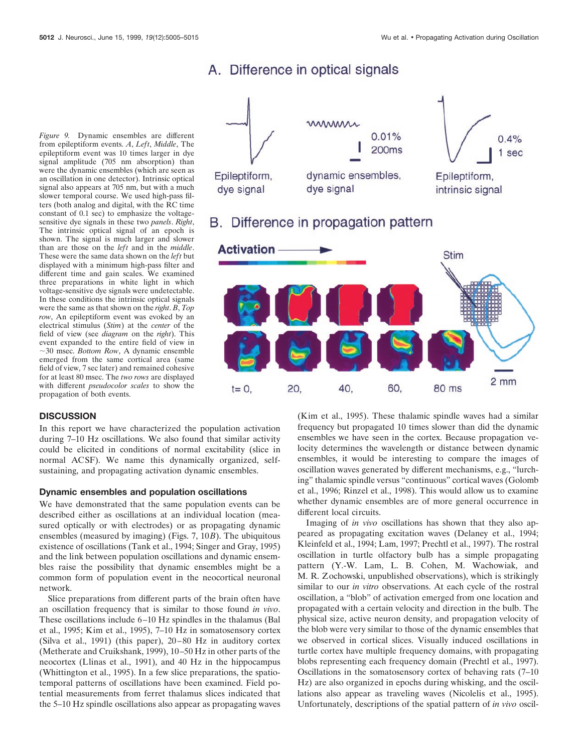# A. Difference in optical signals

*Figure 9.* Dynamic ensembles are different from epileptiform events. *A*, *Left*, *Middle*, The epileptiform event was 10 times larger in dye signal amplitude (705 nm absorption) than were the dynamic ensembles (which are seen as an oscillation in one detector). Intrinsic optical signal also appears at 705 nm, but with a much slower temporal course. We used high-pass filters (both analog and digital, with the RC time constant of 0.1 sec) to emphasize the voltagesensitive dye signals in these two *panels*. *Right*, The intrinsic optical signal of an epoch is shown. The signal is much larger and slower than are those on the *left* and in the *middle*. These were the same data shown on the *left* but displayed with a minimum high-pass filter and different time and gain scales. We examined three preparations in white light in which voltage-sensitive dye signals were undetectable. In these conditions the intrinsic optical signals were the same as that shown on the *right*. *B*, *Top row*, An epileptiform event was evoked by an electrical stimulus (*Stim*) at the *center* of the field of view (see *diagram* on the *right*). This event expanded to the entire field of view in  $\sim$ 30 msec. *Bottom Row*, A dynamic ensemble emerged from the same cortical area (same field of view, 7 sec later) and remained cohesive for at least 80 msec. The *two rows* are displayed with different *pseudocolor scales* to show the propagation of both events.

# *WAAMA*  $0.01%$  $0.4%$ 200<sub>ms</sub> 1 sec dynamic ensembles, Epileptiform, Epileptiform, dye signal dye signal intrinsic signal

# B. Difference in propagation pattern



## **DISCUSSION**

In this report we have characterized the population activation during 7–10 Hz oscillations. We also found that similar activity could be elicited in conditions of normal excitability (slice in normal ACSF). We name this dynamically organized, selfsustaining, and propagating activation dynamic ensembles.

### **Dynamic ensembles and population oscillations**

We have demonstrated that the same population events can be described either as oscillations at an individual location (measured optically or with electrodes) or as propagating dynamic ensembles (measured by imaging) (Figs. 7, 10*B*). The ubiquitous existence of oscillations (Tank et al., 1994; Singer and Gray, 1995) and the link between population oscillations and dynamic ensembles raise the possibility that dynamic ensembles might be a common form of population event in the neocortical neuronal network.

Slice preparations from different parts of the brain often have an oscillation frequency that is similar to those found *in vivo*. These oscillations include 6–10 Hz spindles in the thalamus (Bal et al., 1995; Kim et al., 1995), 7–10 Hz in somatosensory cortex (Silva et al., 1991) (this paper), 20–80 Hz in auditory cortex (Metherate and Cruikshank, 1999), 10–50 Hz in other parts of the neocortex (Llinas et al., 1991), and 40 Hz in the hippocampus (Whittington et al., 1995). In a few slice preparations, the spatiotemporal patterns of oscillations have been examined. Field potential measurements from ferret thalamus slices indicated that the 5–10 Hz spindle oscillations also appear as propagating waves (Kim et al., 1995). These thalamic spindle waves had a similar frequency but propagated 10 times slower than did the dynamic ensembles we have seen in the cortex. Because propagation velocity determines the wavelength or distance between dynamic ensembles, it would be interesting to compare the images of oscillation waves generated by different mechanisms, e.g., "lurching" thalamic spindle versus "continuous" cortical waves (Golomb et al., 1996; Rinzel et al., 1998). This would allow us to examine whether dynamic ensembles are of more general occurrence in different local circuits.

Imaging of *in vivo* oscillations has shown that they also appeared as propagating excitation waves (Delaney et al., 1994; Kleinfeld et al., 1994; Lam, 1997; Prechtl et al., 1997). The rostral oscillation in turtle olfactory bulb has a simple propagating pattern (Y.-W. Lam, L. B. Cohen, M. Wachowiak, and M. R. Zochowski, unpublished observations), which is strikingly similar to our *in vitro* observations. At each cycle of the rostral oscillation, a "blob" of activation emerged from one location and propagated with a certain velocity and direction in the bulb. The physical size, active neuron density, and propagation velocity of the blob were very similar to those of the dynamic ensembles that we observed in cortical slices. Visually induced oscillations in turtle cortex have multiple frequency domains, with propagating blobs representing each frequency domain (Prechtl et al., 1997). Oscillations in the somatosensory cortex of behaving rats (7–10 Hz) are also organized in epochs during whisking, and the oscillations also appear as traveling waves (Nicolelis et al., 1995). Unfortunately, descriptions of the spatial pattern of *in vivo* oscil-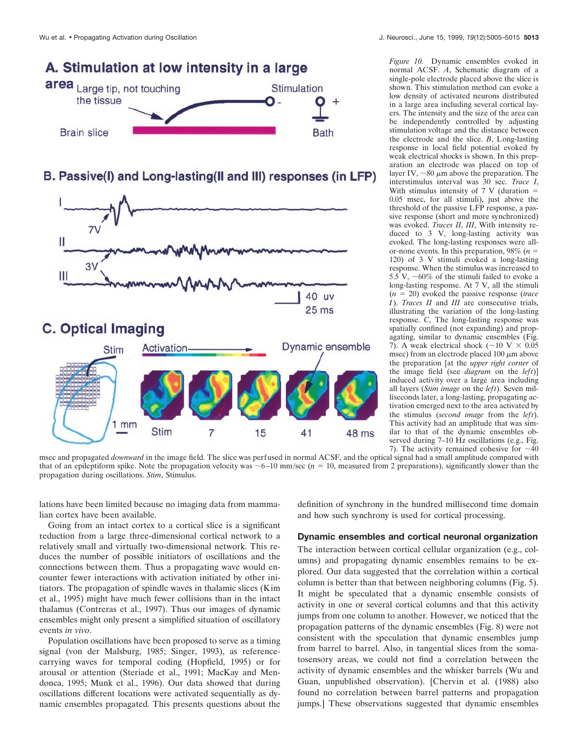

B. Passive(I) and Long-lasting(II and III) responses (in LFP)



*Figure 10.* Dynamic ensembles evoked in normal ACSF. *A*, Schematic diagram of a single-pole electrode placed above the slice is shown. This stimulation method can evoke a low density of activated neurons distributed in a large area including several cortical layers. The intensity and the size of the area can be independently controlled by adjusting stimulation voltage and the distance between the electrode and the slice. *B*, Long-lasting response in local field potential evoked by weak electrical shocks is shown. In this preparation an electrode was placed on top of layer IV,  $\sim$ 80  $\mu$ m above the preparation. The interstimulus interval was 30 sec. *Trace I*, With stimulus intensity of 7 V (duration  $=$ 0.05 msec, for all stimuli), just above the threshold of the passive LFP response, a passive response (short and more synchronized) was evoked. *Traces II*, *III*, With intensity reduced to 3 V, long-lasting activity was evoked. The long-lasting responses were allor-none events. In this preparation,  $98\%$  ( $n =$ 120) of 3 V stimuli evoked a long-lasting response. When the stimulus was increased to 5.5 V,  $\sim$  60% of the stimuli failed to evoke a long-lasting response. At 7 V, all the stimuli  $(n = 20)$  evoked the passive response (*trace I*). *Traces II* and *III* are consecutive trials, illustrating the variation of the long-lasting response. *C*, The long-lasting response was spatially confined (not expanding) and propagating, similar to dynamic ensembles (Fig. 7). A weak electrical shock ( $\sim$ 10 V  $\times$  0.05 msec) from an electrode placed 100  $\mu$ m above the preparation [at the *upper right corner* of the image field (see *diagram* on the *left*)] induced activity over a large area including all layers (*Stim image* on the *left*). Seven milliseconds later, a long-lasting, propagating activation emerged next to the area activated by the stimulus (*second image* from the *left*). This activity had an amplitude that was similar to that of the dynamic ensembles observed during 7–10 Hz oscillations (e.g., Fig. 7). The activity remained cohesive for  $\sim$ 40

msec and propagated *downward* in the image field. The slice was perfused in normal ACSF, and the optical signal had a small amplitude compared with that of an epileptiform spike. Note the propagation velocity was  $\sim 6-10$  mm/sec ( $n = 10$ , measured from 2 preparations), significantly slower than the propagation during oscillations. *Stim*, Stimulus.

lations have been limited because no imaging data from mammalian cortex have been available.

Going from an intact cortex to a cortical slice is a significant reduction from a large three-dimensional cortical network to a relatively small and virtually two-dimensional network. This reduces the number of possible initiators of oscillations and the connections between them. Thus a propagating wave would encounter fewer interactions with activation initiated by other initiators. The propagation of spindle waves in thalamic slices (Kim et al., 1995) might have much fewer collisions than in the intact thalamus (Contreras et al., 1997). Thus our images of dynamic ensembles might only present a simplified situation of oscillatory events *in vivo*.

Population oscillations have been proposed to serve as a timing signal (von der Malsburg, 1985; Singer, 1993), as referencecarrying waves for temporal coding (Hopfield, 1995) or for arousal or attention (Steriade et al., 1991; MacKay and Mendonca, 1995; Munk et al., 1996). Our data showed that during oscillations different locations were activated sequentially as dynamic ensembles propagated. This presents questions about the

definition of synchrony in the hundred millisecond time domain and how such synchrony is used for cortical processing.

# **Dynamic ensembles and cortical neuronal organization**

The interaction between cortical cellular organization (e.g., columns) and propagating dynamic ensembles remains to be explored. Our data suggested that the correlation within a cortical column is better than that between neighboring columns (Fig. 5). It might be speculated that a dynamic ensemble consists of activity in one or several cortical columns and that this activity jumps from one column to another. However, we noticed that the propagation patterns of the dynamic ensembles (Fig. 8) were not consistent with the speculation that dynamic ensembles jump from barrel to barrel. Also, in tangential slices from the somatosensory areas, we could not find a correlation between the activity of dynamic ensembles and the whisker barrels (Wu and Guan, unpublished observation). [Chervin et al. (1988) also found no correlation between barrel patterns and propagation jumps.] These observations suggested that dynamic ensembles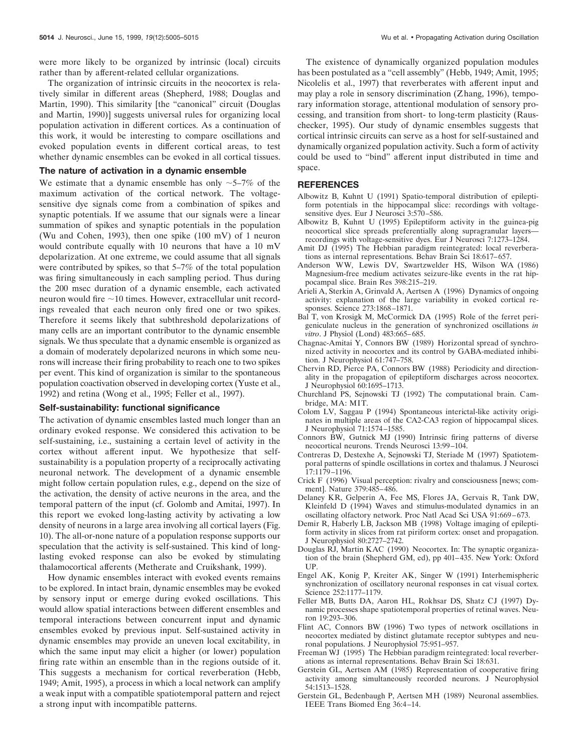were more likely to be organized by intrinsic (local) circuits rather than by afferent-related cellular organizations.

The organization of intrinsic circuits in the neocortex is relatively similar in different areas (Shepherd, 1988; Douglas and Martin, 1990). This similarity [the "canonical" circuit (Douglas and Martin, 1990)] suggests universal rules for organizing local population activation in different cortices. As a continuation of this work, it would be interesting to compare oscillations and evoked population events in different cortical areas, to test whether dynamic ensembles can be evoked in all cortical tissues.

### **The nature of activation in a dynamic ensemble**

We estimate that a dynamic ensemble has only  $\sim$  5–7% of the maximum activation of the cortical network. The voltagesensitive dye signals come from a combination of spikes and synaptic potentials. If we assume that our signals were a linear summation of spikes and synaptic potentials in the population (Wu and Cohen, 1993), then one spike (100 mV) of 1 neuron would contribute equally with 10 neurons that have a 10 mV depolarization. At one extreme, we could assume that all signals were contributed by spikes, so that 5–7% of the total population was firing simultaneously in each sampling period. Thus during the 200 msec duration of a dynamic ensemble, each activated neuron would fire  $\sim$ 10 times. However, extracellular unit recordings revealed that each neuron only fired one or two spikes. Therefore it seems likely that subthreshold depolarizations of many cells are an important contributor to the dynamic ensemble signals. We thus speculate that a dynamic ensemble is organized as a domain of moderately depolarized neurons in which some neurons will increase their firing probability to reach one to two spikes per event. This kind of organization is similar to the spontaneous population coactivation observed in developing cortex (Yuste et al., 1992) and retina (Wong et al., 1995; Feller et al., 1997).

### **Self-sustainability: functional significance**

The activation of dynamic ensembles lasted much longer than an ordinary evoked response. We considered this activation to be self-sustaining, i.e., sustaining a certain level of activity in the cortex without afferent input. We hypothesize that selfsustainability is a population property of a reciprocally activating neuronal network. The development of a dynamic ensemble might follow certain population rules, e.g., depend on the size of the activation, the density of active neurons in the area, and the temporal pattern of the input (cf. Golomb and Amitai, 1997). In this report we evoked long-lasting activity by activating a low density of neurons in a large area involving all cortical layers (Fig. 10). The all-or-none nature of a population response supports our speculation that the activity is self-sustained. This kind of longlasting evoked response can also be evoked by stimulating thalamocortical afferents (Metherate and Cruikshank, 1999).

How dynamic ensembles interact with evoked events remains to be explored. In intact brain, dynamic ensembles may be evoked by sensory input or emerge during evoked oscillations. This would allow spatial interactions between different ensembles and temporal interactions between concurrent input and dynamic ensembles evoked by previous input. Self-sustained activity in dynamic ensembles may provide an uneven local excitability, in which the same input may elicit a higher (or lower) population firing rate within an ensemble than in the regions outside of it. This suggests a mechanism for cortical reverberation (Hebb, 1949; Amit, 1995), a process in which a local network can amplify a weak input with a compatible spatiotemporal pattern and reject a strong input with incompatible patterns.

The existence of dynamically organized population modules has been postulated as a "cell assembly" (Hebb, 1949; Amit, 1995; Nicolelis et al., 1997) that reverberates with afferent input and may play a role in sensory discrimination (Zhang, 1996), temporary information storage, attentional modulation of sensory processing, and transition from short- to long-term plasticity (Rauschecker, 1995). Our study of dynamic ensembles suggests that cortical intrinsic circuits can serve as a host for self-sustained and dynamically organized population activity. Such a form of activity could be used to "bind" afferent input distributed in time and space.

#### **REFERENCES**

- Albowitz B, Kuhnt U (1991) Spatio-temporal distribution of epileptiform potentials in the hippocampal slice: recordings with voltagesensitive dyes. Eur J Neurosci 3:570–586.
- Albowitz B, Kuhnt U (1995) Epileptiform activity in the guinea-pig neocortical slice spreads preferentially along supragranular layers recordings with voltage-sensitive dyes. Eur J Neurosci 7:1273–1284.
- Amit DJ (1995) The Hebbian paradigm reintegrated: local reverberations as internal representations. Behav Brain Sci 18:617–657.
- Anderson WW, Lewis DV, Swartzwelder HS, Wilson WA (1986) Magnesium-free medium activates seizure-like events in the rat hippocampal slice. Brain Res 398:215–219.
- Arieli A, Sterkin A, Grinvald A, Aertsen A (1996) Dynamics of ongoing activity: explanation of the large variability in evoked cortical responses. Science 273:1868–1871.
- Bal T, von Krosigk M, McCormick DA (1995) Role of the ferret perigeniculate nucleus in the generation of synchronized oscillations *in vitro*. J Physiol (Lond) 483:665–685.
- Chagnac-Amitai Y, Connors BW (1989) Horizontal spread of synchronized activity in neocortex and its control by GABA-mediated inhibition. J Neurophysiol 61:747–758.
- Chervin RD, Pierce PA, Connors BW (1988) Periodicity and directionality in the propagation of epileptiform discharges across neocortex. J Neurophysiol 60:1695–1713.
- Churchland PS, Sejnowski TJ (1992) The computational brain. Cambridge, MA: MIT.
- Colom LV, Saggau P (1994) Spontaneous interictal-like activity originates in multiple areas of the CA2-CA3 region of hippocampal slices. J Neurophysiol 71:1574–1585.
- Connors BW, Gutnick MJ (1990) Intrinsic firing patterns of diverse neocortical neurons. Trends Neurosci 13:99–104.
- Contreras D, Destexhe A, Sejnowski TJ, Steriade M (1997) Spatiotemporal patterns of spindle oscillations in cortex and thalamus. J Neurosci 17:1179–1196.
- Crick F (1996) Visual perception: rivalry and consciousness [news; comment]. Nature 379:485–486.
- Delaney KR, Gelperin A, Fee MS, Flores JA, Gervais R, Tank DW, Kleinfeld D (1994) Waves and stimulus-modulated dynamics in an oscillating olfactory network. Proc Natl Acad Sci USA 91:669–673.
- Demir R, Haberly LB, Jackson MB (1998) Voltage imaging of epileptiform activity in slices from rat piriform cortex: onset and propagation. J Neurophysiol 80:2727–2742.
- Douglas RJ, Martin KAC (1990) Neocortex. In: The synaptic organization of the brain (Shepherd GM, ed), pp 401–435. New York: Oxford UP.
- Engel AK, Konig P, Kreiter AK, Singer W (1991) Interhemispheric synchronization of oscillatory neuronal responses in cat visual cortex. Science 252:1177–1179.
- Feller MB, Butts DA, Aaron HL, Rokhsar DS, Shatz CJ (1997) Dynamic processes shape spatiotemporal properties of retinal waves. Neuron 19:293–306.
- Flint AC, Connors BW (1996) Two types of network oscillations in neocortex mediated by distinct glutamate receptor subtypes and neuronal populations. J Neurophysiol 75:951–957.
- Freeman WJ (1995) The Hebbian paradigm reintegrated: local reverberations as internal representations. Behav Brain Sci 18:631.
- Gerstein GL, Aertsen AM (1985) Representation of cooperative firing activity among simultaneously recorded neurons. J Neurophysiol 54:1513–1528.
- Gerstein GL, Bedenbaugh P, Aertsen MH (1989) Neuronal assemblies. IEEE Trans Biomed Eng 36:4–14.